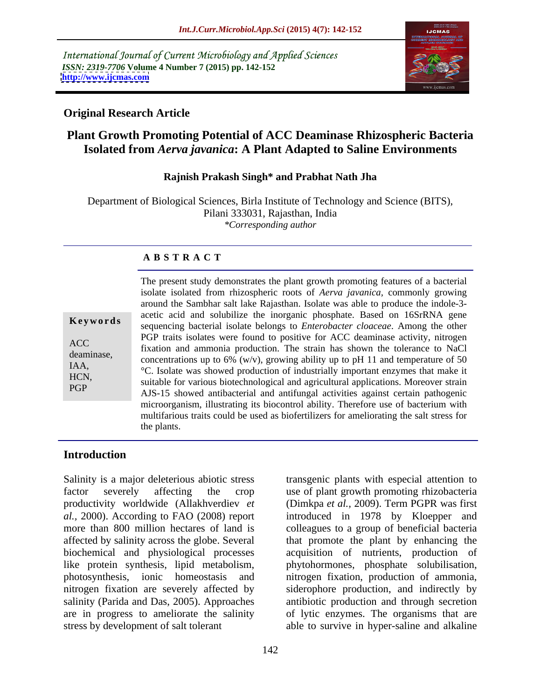International Journal of Current Microbiology and Applied Sciences *ISSN: 2319-7706* **Volume 4 Number 7 (2015) pp. 142-152 <http://www.ijcmas.com>**



#### **Original Research Article**

## **Plant Growth Promoting Potential of ACC Deaminase Rhizospheric Bacteria Isolated from** *Aerva javanica***: A Plant Adapted to Saline Environments**

#### **Rajnish Prakash Singh\* and Prabhat Nath Jha**

Department of Biological Sciences, Birla Institute of Technology and Science (BITS), Pilani 333031, Rajasthan, India *\*Corresponding author*

#### **A B S T R A C T**

| Keywords                                               |
|--------------------------------------------------------|
| <b>ACC</b><br>deaminase,<br>IAA,<br>HCN,<br><b>PGP</b> |
|                                                        |

The present study demonstrates the plant growth promoting features of a bacterial isolate isolated from rhizospheric roots of *Aerva javanica,* commonly growing around the Sambhar salt lake Rajasthan. Isolate was able to produce the indole-3 acetic acid and solubilize the inorganic phosphate. Based on 16SrRNA gene sequencing bacterial isolate belongs to *Enterobacter cloaceae*. Among the other **Ke ywo rds** PGP traits isolates were found to positive for ACC deaminase activity, nitrogen ACC<br>
fixation and ammonia production. The strain has shown the tolerance to NaCl deaminase,<br>concentrations up to  $6\%$  (w/v), growing ability up to pH 11 and temperature of 50 IAA,<br><sup>o</sup>C. Isolate was showed production of industrially important enzymes that make it suitable for various biotechnologicaland agricultural applications. Moreover strain HCN, AJS-15 showed antibacterial and antifungal activities against certain pathogenic microorganism, illustrating its biocontrol ability. Therefore use of bacterium with multifarious traits could be used as biofertilizers for ameliorating the salt stress for the plants.

#### **Introduction**

Salinity is a major deleterious abiotic stress transgenic plants with especial attention to factor severely affecting the crop use of plant growth promoting rhizobacteria productivity worldwide (Allakhverdiev *et*  (Dimkpa *et al.,* 2009). Term PGPR was first *al.,* 2000). According to FAO (2008) report introduced in 1978 by Kloepper and more than 800 million hectares of land is colleagues to a group of beneficial bacteria affected by salinity across the globe. Several that promote the plant by enhancing the biochemical and physiological processes acquisition of nutrients, production of like protein synthesis, lipid metabolism, phytohormones, phosphate solubilisation, photosynthesis, ionic homeostasis and nitrogen fixation, production of ammonia, nitrogen fixation are severely affected by siderophore production, and indirectly by salinity (Parida and Das, 2005). Approaches antibiotic production and through secretion are in progress to ameliorate the salinity of lytic enzymes. The organisms that are stress by development of salt tolerant able to survive in hyper-saline and alkaline

acquisition of nutrients, production of phytohormones, phosphate solubilisation,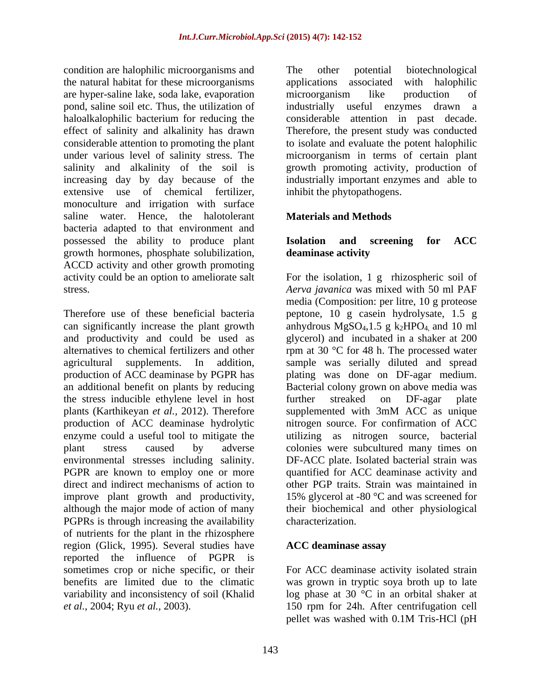condition are halophilic microorganisms and The other potential biotechnological the natural habitat for these microorganisms are hyper-saline lake, soda lake, evaporation pond, saline soil etc. Thus, the utilization of haloalkalophilic bacterium for reducing the considerable attention in past decade. effect of salinity and alkalinity has drawn Therefore, the present study was conducted considerable attention to promoting the plant to isolate and evaluate the potent halophilic under various level of salinity stress. The microorganism in terms of certain plant salinity and alkalinity of the soil is increasing day by day because of the industrially important enzymes and able to extensive use of chemical fertilizer, monoculture and irrigation with surface saline water. Hence, the halotolerant **Materials and Methods** bacteria adapted to that environment and possessed the ability to produce plant **Isolation and screening for ACC** growth hormones, phosphate solubilization, ACCD activity and other growth promoting

and productivity and could be used as the stress inducible ethylene level in host further streaked on DF-agar plate PGPR are known to employ one or more improve plant growth and productivity, PGPRs is through increasing the availability characterization. of nutrients for the plant in the rhizosphere region (Glick, 1995). Several studies have **ACC deaminase assav** reported the influence of PGPR is sometimes crop or niche specific, or their For ACC deaminase activity isolated strain benefits are limited due to the climatic was grown in tryptic soya broth up to late variability and inconsistency of soil (Khalid log phase at 30 °C in an orbital shaker at *et al.,* 2004; Ryu *et al.,* 2003). 150 rpm for 24h. After centrifugation cell

The other potential biotechnological applications associated with halophilic microorganism like production of useful enzymes drawn a growth promoting activity, production of inhibit the phytopathogens.

### **Materials and Methods**

### **Isolation and screening for ACC deaminase activity**

activity could be an option to ameliorate salt For the isolation, 1 g rhizospheric soil of stress. *Aerva javanica* was mixed with 50 ml PAF Therefore use of these beneficial bacteria peptone, 10 g casein hydrolysate, 1.5 g can significantly increase the plant growth anhydrous  $MgSO_4,1.5 \frac{g}{2}k_2HPO_4$  and 10 ml alternatives to chemical fertilizers and other  $\qquad \qquad$  rpm at 30 °C for 48 h. The processed water agricultural supplements. In addition, sample was serially diluted and spread production of ACC deaminase by PGPR has plating was done on DF-agar medium. an additional benefit on plants by reducing Bacterial colony grown on above media was plants (Karthikeyan *et al.,* 2012). Therefore supplemented with 3mM ACC as unique production of ACC deaminase hydrolytic nitrogen source. For confirmation of ACC enzyme could a useful tool to mitigate the utilizing as nitrogen source, bacterial plant stress caused by adverse colonies were subcultured many times on environmental stresses including salinity. DF-ACC plate. Isolated bacterial strain was direct and indirect mechanisms of action to other PGP traits. Strain was maintained in although the major mode of action of many their biochemical and other physiological media (Composition: per litre, 10 g proteose glycerol) and incubated in a shaker at 200 further streaked on DF-agar plate quantified for ACC deaminase activity and 15% glycerol at -80 °C and was screened for characterization.

### **ACC deaminase assay**

pellet was washed with 0.1M Tris-HCl (pH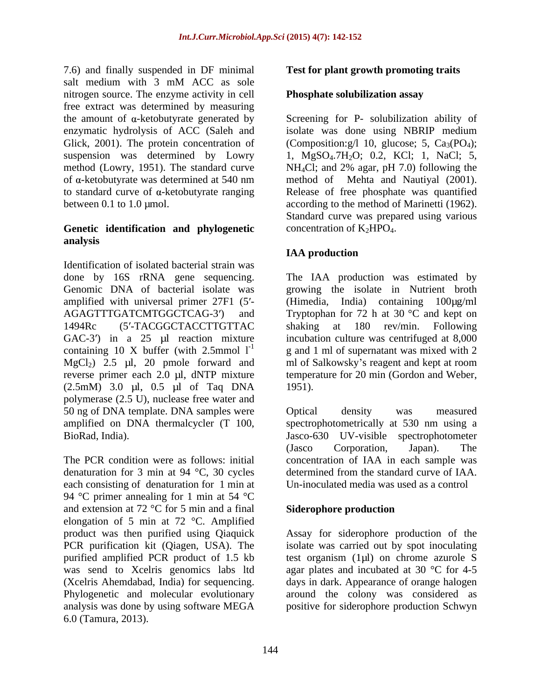7.6) and finally suspended in DF minimal salt medium with 3 mM ACC as sole nitrogen source. The enzyme activity in cell free extract was determined by measuring method (Lowry, 1951). The standard curve  $NH_4Cl$ ; and 2% agar, pH 7.0) following the

#### **Genetic identification and phylogenetic analysis**

Identification of isolated bacterial strain was done by 16S rRNA gene sequencing. The IAA production was estimated by Genomic DNA of bacterial isolate was amplified with universal primer  $27F1$  (5'-<br>(Himedia, India) containing  $100\mu\text{g/ml}$ AGAGTTTGATCMTGGCTCAG-3') and Tryptophan for 72 h at 30 °C and kept on 1494Rc (5'-TACGGCTACCTTGTTAC shaking at 180 rev/min. Following GAC-3') in a  $25 \text{ }\mu\text{l}$  reaction mixture containing 10 X buffer (with 2.5mmol  $1^{-1}$ )  $MgCl<sub>2</sub>$ ) 2.5 µl, 20 pmole forward and ml of Salkowsky's reagent and kept at room reverse primer each 2.0 µl, dNTP mixture temperature for 20 min (Gordon and Weber, (2.5mM) 3.0 µl, 0.5 µl of Taq DNA polymerase (2.5 U), nuclease free water and 50 ng of DNA template. DNA samples were Coptical density was measured amplified on DNA thermalcycler (T 100, spectrophotometrically at 530 nm using a BioRad, India). Jasco-630 UV-visible spectrophotometer

The PCR condition were as follows: initial concentration of IAA in each sample was denaturation for 3 min at 94 °C, 30 cycles each consisting of denaturation for 1 min at  $\qquad$  Un-inoculated media was used as a control 94 °C primer annealing for 1 min at 54 °C and extension at 72  $\degree$ C for 5 min and a final Siderophore production elongation of 5 min at 72 °C. Amplified product was then purified using Qiaquick Assay for siderophore production of the PCR purification kit (Qiagen, USA). The isolate was carried out by spot inoculating purified amplified PCR product of 1.5 kb test organism (1 $\mu$ l) on chrome azurole S was send to Xcelris genomics labs ltd agar plates and incubated at 30 °C for 4-5 was send to Xcelris genomics labs ltd agar plates and incubated at 30 °C for 4-5 (Xcelris Ahemdabad, India) for sequencing. Phylogenetic and molecular evolutionary around the colony was considered as analysis was done by using software MEGA positive for siderophore production Schwyn6.0 (Tamura, 2013).

### **Test for plant growth promoting traits**

#### **Phosphate solubilization assay**

the amount of  $\alpha$ -ketobutyrate generated by Screening for P- solubilization ability of enzymatic hydrolysis of ACC (Saleh and isolate was done using NBRIP medium Glick, 2001). The protein concentration of (Composition:  $g/1$  10, glucose; 5, Ca<sub>3</sub>(PO<sub>4</sub>); suspension was determined by Lowry 1, MgSO<sub>4</sub>.7H<sub>2</sub>O; 0.2, KCl; 1, NaCl; 5, of α-ketobutyrate was determined at 540 nm method of Mehta and Nautiyal (2001). to standard curve of  $\alpha$ -ketobutyrate ranging  $\alpha$  Release of free phosphate was quantified between 0.1 to 1.0 µmol. according to the method of Marinetti (1962). NH4Cl; and 2% agar, pH 7.0) following the Standard curve was prepared using various concentration of  $K_2HPO_4$ .

### **IAA production**

growing the isolate in Nutrient broth  $(Himedia, India)$  containing shaking at 180 rev/min. Following incubation culture was centrifuged at 8,000 g and 1 ml of supernatant was mixed with 2 1951).

Optical density was measured (Jasco Corporation, Japan). The determined from the standard curve of IAA. Un-inoculated media was used as a control

### **Siderophore production**

isolate was carried out by spot inoculating test organism (1µl) on chrome azurole <sup>S</sup> days in dark. Appearance of orange halogen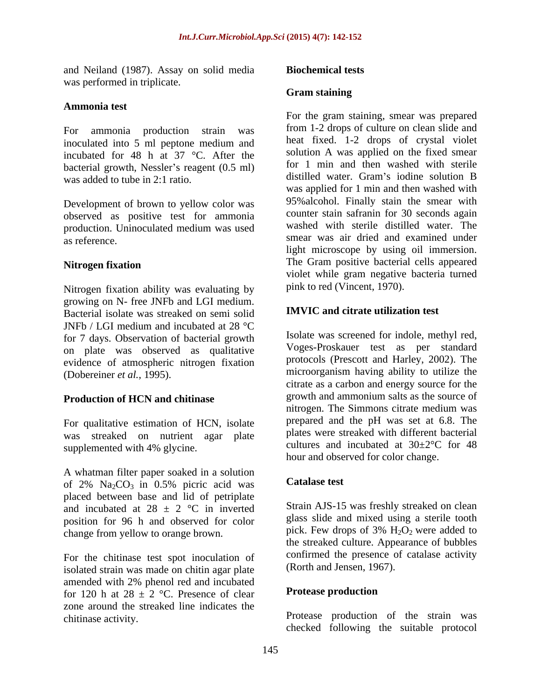and Neiland (1987). Assay on solid media was performed in triplicate.

#### **Ammonia test**

For ammonia production strain was inoculated into 5 ml peptone medium and incubated for 48 h at 37 °C. After the bacterial growth, Nessler's reagent  $(0.5 \text{ ml})$  for 1 min and then washed with sterile was added to tube in 2:1 ratio.

Development of brown to yellow color was observed as positive test for ammonia

Nitrogen fixation ability was evaluating by growing on N- free JNFb and LGI medium.<br>Besterial isolate was streaked on somi solid **IMVIC** and citrate utilization test Bacterial isolate was streaked on semi solid JNFb / LGI medium and incubated at 28 °C for 7 days. Observation of bacterial growth on plate was observed as qualitative evidence of atmospheric nitrogen fixation

For qualitative estimation of HCN, isolate was streaked on nutrient agar plate

A whatman filter paper soaked in a solution<br>of  $2\%$  NacCo in 0.5% pictic acid was **Catalase test** of  $2\%$  Na<sub>2</sub>CO<sub>3</sub> in 0.5% picric acid was placed between base and lid of petriplate and incubated at 28  $\pm$  2 °C in inverted position for 96 h and observed for color glass slide and mixed using a sterile tooth change from vellow to orange brown pick. Few drops of  $3\%$  H<sub>2</sub>O<sub>2</sub> were added to change from yellow to orange brown.  $pick.$  Few drops of 3%  $H_2O_2$  were added to

For the chitinase test spot inoculation of continued the presence of<br>isolated strain was made on chitin agar plate (Rorth and Jensen, 1967). isolated strain was made on chitin agar plate amended with 2% phenol red and incubated<br>for 120 h at 28 + 2 °C. Presence of clear **Protease production** for 120 h at  $28 \pm 2$  °C. Presence of clear zone around the streaked line indicates the

#### **Biochemical tests**

#### **Gram staining**

was added to tube in 2:1 ratio. The distilled water. Gram's nodine solution B production. Uninoculated medium was used as reference. smear was air dried and examined under **Nitrogen fixation** The Gram positive bacterial cells appeared For the gram staining, smear was prepared from 1-2 drops of culture on clean slide and heat fixed. 1-2 drops of crystal violet solution A was applied on the fixed smear for 1 min and then washed with sterile distilled water. Gram's iodine solution B was applied for 1 min and then washed with 95%alcohol. Finally stain the smear with counter stain safranin for 30 seconds again washed with sterile distilled water. The light microscope by using oil immersion. violet while gram negative bacteria turned pink to red (Vincent, 1970).

### **IMVIC and citrate utilization test**

(Dobereiner *et al.*, 1995). microorganism having ability to utilize the **Production of HCN and chitinase example 1** and **example 1** and **annonium** salts as the source of supplemented with 4% glycine.  $\qquad \qquad \text{cuttures}$  and incubated at 30 $\pm 2^{\circ}$ C for 48 Isolate was screened for indole, methyl red, Voges-Proskauer test as per standard protocols (Prescott and Harley, 2002). The citrate as a carbon and energy source for the growth and ammonium salts as the source of nitrogen. The Simmons citrate medium was prepared and the pH was set at 6.8. The plates were streaked with different bacterial cultures and incubated at  $30\pm2\degree$ C for 48 hour and observed for color change.

### **Catalase test**

Strain AJS-15 was freshly streaked on clean glass slide and mixed using a sterile tooth pick. Few drops of  $3\%$   $H_2O_2$  were added to the streaked culture. Appearance of bubbles confirmed the presence of catalase activity (Rorth and Jensen, 1967).

#### **Protease production**

chitinase activity. Protease production of the strain was checked following the suitable protocol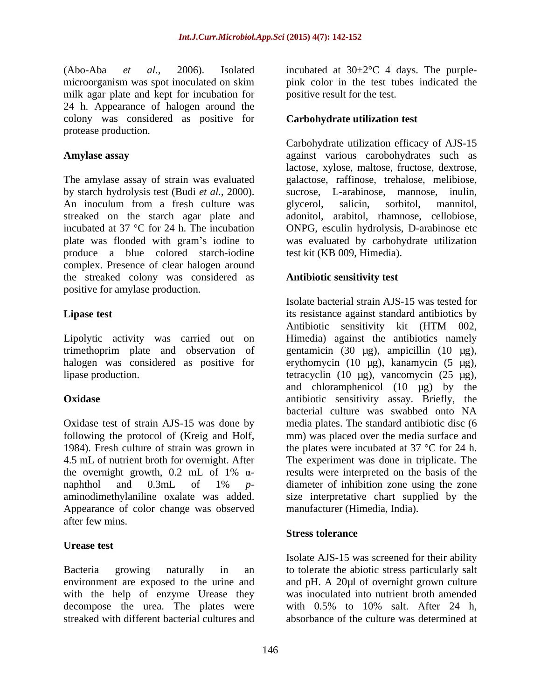(Abo-Aba *et al.*, 2006). Isolated incubated at  $30\pm2\degree C$  4 days. The purplemicroorganism was spot inoculated on skim pink color in the test tubes indicated the milk agar plate and kept for incubation for 24 h. Appearance of halogen around the colony was considered as positive for **Carbohydrate utilization test** protease production.

The amylase assay of strain was evaluated by starch hydrolysis test (Budi *et al.,* 2000). An inoculum from a fresh culture was glycerol, salicin, sorbitol, mannitol, streaked on the starch agar plate and adonitol, arabitol, rhamnose, cellobiose, incubated at  $37 \text{ °C}$  for  $24$  h. The incubation ONPG, esculin hydrolysis, D-arabinose etc plate was flooded with gram's iodine to was evaluated by carbohydrate utilization produce a blue colored starch-iodine test kit (KB 009, Himedia). complex. Presence of clear halogen around the streaked colony was considered as positive for amylase production.

Lipolytic activity was carried out on

Appearance of color change was observed after few mins.

### **Urease test**

Bacteria growing naturally in an to tolerate the abiotic stress particularly salt environment are exposed to the urine and with the help of enzyme Urease they decompose the urea. The plates were with 0.5% to 10% salt. After 24 h, streaked with different bacterial cultures and absorbance of the culture was determined at

positive result for the test.

### **Carbohydrate utilization test**

**Amylase assay** against various carobohydrates such as Carbohydrate utilization efficacy of AJS-15 lactose, xylose, maltose, fructose, dextrose, galactose, raffinose, trehalose, melibiose, sucrose, L-arabinose, mannose, inulin, glycerol, salicin, sorbitol, mannitol, test kit (KB 009, Himedia).

#### **Antibiotic sensitivity test**

**Lipase test** its resistance against standard antibiotics by trimethoprim plate and observation of gentamicin (30 µg), ampicillin (10 µg), halogen was considered as positive for erythomycin (10 µg), kanamycin (5 µg), lipase production. tetracyclin (10 µg), vancomycin (25 µg), **Oxidase** antibiotic sensitivity assay. Briefly, the Oxidase test of strain AJS-15 was done by media plates. The standard antibiotic disc (6 following the protocol of (Kreig and Holf, mm) was placed over the media surface and 1984). Fresh culture of strain was grown in the plates were incubated at 37 °C for 24 h. 4.5 mL of nutrient broth for overnight. After The experiment was done in triplicate. The the overnight growth, 0.2 mL of 1%  $\alpha$ - results were interpreted on the basis of the naphthol and 0.3mL of 1% *p* aminodimethylaniline oxalate was added. size interpretative chart supplied by the Isolate bacterial strain AJS-15 was tested for Antibiotic sensitivity kit (HTM 002, Himedia) against the antibiotics namely and chloramphenicol (10 µg) by the bacterial culture was swabbed onto NA results were interpreted on the basis of the diameter of inhibition zone using the zone manufacturer (Himedia, India).

#### **Stress tolerance**

Isolate AJS-15 was screened for their ability and pH. A 20µl of overnight grown culture was inoculated into nutrient broth amended with 0.5% to 10% salt. After 24 h,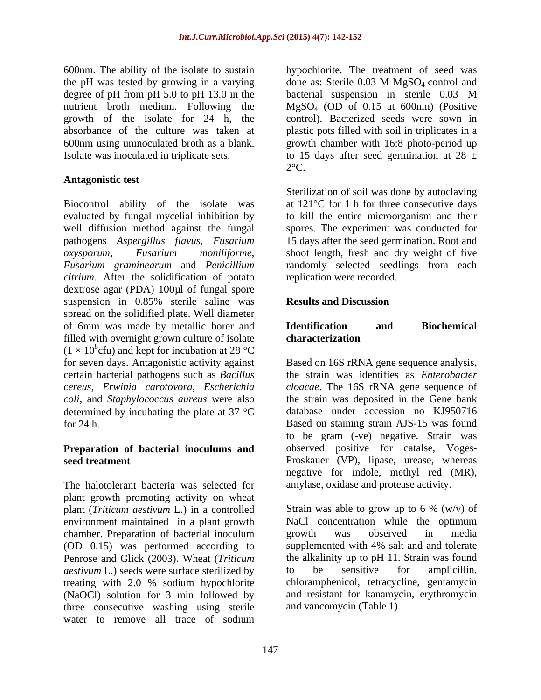600nm. The ability of the isolate to sustain hypochlorite. The treatment of seed was the pH was tested by growing in a varying done as: Sterile  $0.03$  M MgSO<sub>4</sub> control and degree of pH from pH 5.0 to pH 13.0 in the bacterial suspension in sterile 0.03 M nutrient broth medium. Following the MgSO<sub>4</sub> (OD of 0.15 at 600nm) (Positive growth of the isolate for 24 h, the control). Bacterized seeds were sown in absorbance of the culture was taken at plastic pots filled with soil in triplicates in a 600nm using uninoculated broth as a blank. growth chamber with 16:8 photo-period up

### **Antagonistic test**

Biocontrol ability of the isolate was evaluated by fungal mycelial inhibition by well diffusion method against the fungal spores. The experiment was conducted for pathogens *Aspergillus flavus*, *Fusarium* 15 days after the seed germination. Root and *oxysporum*, *Fusarium moniliforme*, shoot length, fresh and dry weight of five *Fusarium graminearum* and *Penicillium* randomly selected seedlings from each *citrium*. After the solidification of potato dextrose agar (PDA) 100µl of fungal spore suspension in 0.85% sterile saline was **Results and Discussion** spread on the solidified plate. Well diameter of 6mm was made by metallic borer and **Identification** and **Biochemical** filled with overnight grown culture of isolate **characterization**  $(1 \times 10^8$ cfu) and kept for incubation at 28 °C for seven days. Antagonistic activity against Based on 16S rRNA gene sequence analysis, certain bacterial pathogens such as *Bacillus* the strain was identifiesas *Enterobacter cereus, Erwinia carotovora, Escherichia cloacae*. The 16S rRNA gene sequence of *coli*, and *Staphylococcus aureus* were also the strain was deposited in the Gene bank determined by incubating the plate at  $37 \text{ °C}$ for 24 h. Based on staining strain AJS-15 was found

# **Preparation of bacterial inoculums and**

The halotolerant bacteria was selected for plant growth promoting activity on wheat plant (*Triticum aestivum* L.) in a controlled environment maintained in a plant growth NaCl or chamber. Preparation of bacterial inoculum growth chamber. Preparation of bacterial inoculum growth was observed in media<br>
(OD 0.15) was performed according to supplemented with 4% salt and and tolerate (OD 0.15) was performed according to Penrose and Glick (2003). Wheat (*Triticum* the alkalinity up to pH<br> *aestivum* L.) seeds were surface sterilized by to be sensitive *aestivum* L.) seeds were surface sterilized by  $\qquad$  to be sensitive for amplicillin, treating with 2.0 % sodium hypochlorite (NaOCl) solution for 3 min followed by three consecutive washing using sterile water to remove all trace of sodium

Isolate was inoculated in triplicate sets.  $\frac{15}{28}$  to 15 days after seed germination at 28  $\pm$ done as: Sterile 0.03 M MgSO<sub>4</sub> control and bacterial suspension in sterile 0.03 M  $2^{\circ}$ C.

> Sterilization of soil was done by autoclaving at 121°C for 1 h for three consecutive days to kill the entire microorganism and their replication were recorded.

### **Results and Discussion**

### **Identification and Biochemical characterization**

**seed treatment** Proskauer (VP), lipase, urease, whereas database under accession no KJ950716 to be gram (-ve) negative. Strain was observed positive for catalse, Voges negative for indole, methyl red (MR), amylase, oxidase and protease activity.

> Strain was able to grow up to 6 %  $(w/v)$  of NaCl concentration while the optimum growth was observed in media supplemented with 4% salt and and tolerate the alkalinity up to pH 11. Strain was found to be sensitive for amplicillin, chloramphenicol, tetracycline, gentamycin and resistant for kanamycin, erythromycin and vancomycin (Table 1).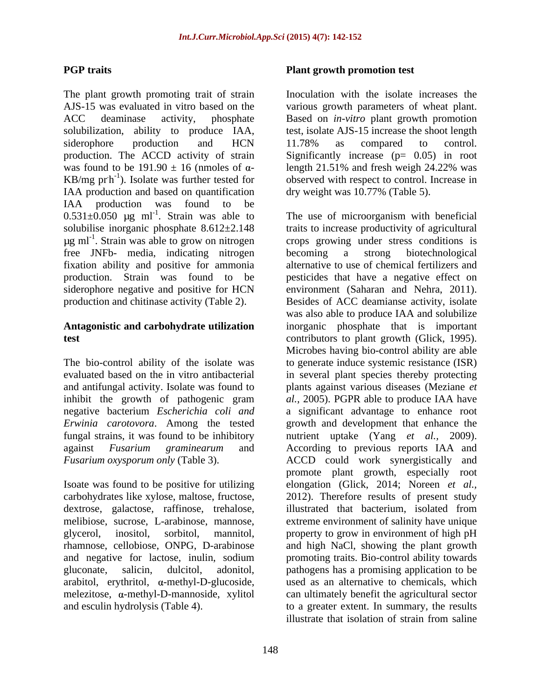The plant growth promoting trait of strain AJS-15 was evaluated in vitro based on the various growth parameters of wheat plant. ACC deaminase activity, phosphate Based on *in-vitro* plant growth promotion solubilization, ability to produce IAA, siderophore production and HCN 11.78% as compared to control. production. The ACCD activity of strain Significantly increase (p= 0.05) in root was found to be  $191.90 \pm 16$  (nmoles of  $\alpha$ - length 21.51% and fresh weigh 24.22% was  $KB/mg$  pr $h^{-1}$ ). Isolate was further tested for observed with respect to control. Increase in IAA production and based on quantification dry weight was 10.77% (Table 5). IAA production was found to be  $0.531\pm0.050$  ug ml<sup>-1</sup>. Strain was able to  $\mu$ g ml<sup>-1</sup>. Strain was able to grow on nitrogen free JNFb- media, indicating nitrogen fixation ability and positive for ammonia

carbohydrates like xylose, maltose, fructose, dextrose, galactose, raffinose, trehalose, illustrated that bacterium, isolated from arabitol, erythritol,  $\alpha$ -methyl-D-glucoside,

#### **PGP** traits **PGP traits PGP traits PGP traits PGP traits PGP traits PGP traits PGP traits PGP ext PGP ext PGP ext PGP ext PGP ext PGP ext PGP ext PGP ext PGP e Plant growth promotion test**

Inoculation with the isolate increases the test, isolate AJS-15 increase the shoot length 11.78% as compared to control. length 21.51% and fresh weigh 24.22% was dry weight was 10.77% (Table 5).

. Strain was able to The use of microorganism with beneficial solubilise inorganic phosphate 8.612±2.148 traits to increase productivity of agricultural . Strain was able to grow on nitrogen crops growing under stress conditions is production. Strain was found to be pesticides that have a negative effect on siderophore negative and positive for HCN environment (Saharan and Nehra, 2011). production and chitinase activity (Table 2). Besides of ACC deamianse activity, isolate **Antagonistic and carbohydrate utilization** inorganic phosphate that is important **test** contributors to plant growth (Glick, 1995). The bio-control ability of the isolate was to generate induce systemic resistance (ISR) evaluated based on the in vitro antibacterial in several plant species thereby protecting and antifungal activity. Isolate was found to plants against various diseases (Meziane *et*  inhibit the growth of pathogenic gram *al.,* 2005). PGPR able to produce IAA have negative bacterium *Escherichia coli and* a significant advantage to enhance root *Erwinia carotovora*. Among the tested growth and development that enhance the fungal strains, it was found to be inhibitory nutrient uptake (Yang *et al.,* 2009). against *Fusarium graminearum* and According to previous reports IAA and *Fusarium oxysporum only* (Table 3). ACCD could work synergistically and Isoate was found to be positive for utilizing elongation (Glick, 2014; Noreen *et al.,* melibiose, sucrose, L-arabinose, mannose, extreme environment of salinity have unique glycerol, inositol, sorbitol, mannitol, property to grow in environment of high pH rhamnose, cellobiose, ONPG, D-arabinose and high NaCl, showing the plant growth and negative for lactose, inulin, sodium promoting traits. Bio-control ability towards gluconate, salicin, dulcitol, adonitol, pathogens has a promising application to be melezitose,  $\alpha$ -methyl-D-mannoside, xylitol can ultimately benefit the agricultural sector and esculin hydrolysis (Table 4). to a greater extent. In summary, the results becoming a strong biotechnological alternative to use of chemical fertilizers and was also able to produce IAA and solubilize Microbes having bio-control ability are able promote plant growth, especially root 2012). Therefore results of present study illustrated that bacterium, isolated from used as an alternative to chemicals, which illustrate that isolation of strain from saline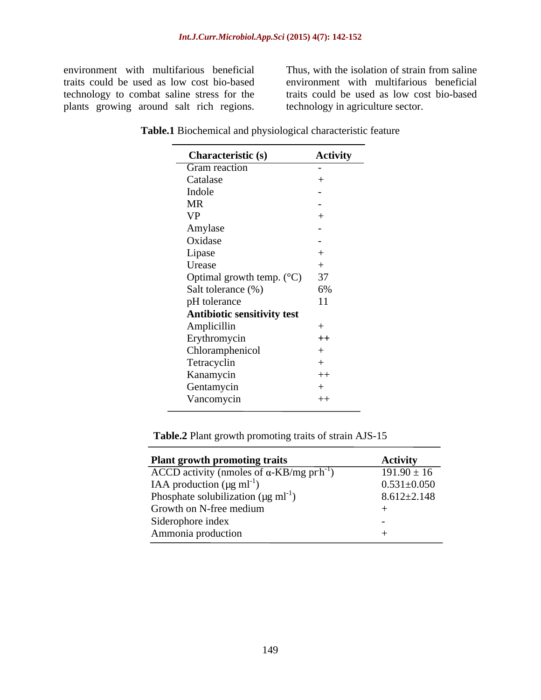technology to combat saline stress for the plants growing around salt rich regions.

environment with multifarious beneficial Thus, with the isolation of strain from saline traits could be used as low cost bio-based environment with multifarious beneficial traits could be used as low cost bio-based technology in agriculture sector.

| <b>Characteristic (s)</b>             | <b>Activity</b>          |
|---------------------------------------|--------------------------|
| Gram reaction                         | $\sim$ $-$               |
| Catalase                              |                          |
| Indole                                |                          |
| <b>MR</b>                             |                          |
| <b>VP</b>                             |                          |
| Amylase                               | $\sim$                   |
| Oxidase                               | $\overline{\phantom{0}}$ |
| Lipase                                |                          |
| Urease                                |                          |
| Optimal growth temp. $(^{\circ}C)$ 37 |                          |
| Salt tolerance (%)                    | 6%                       |
| pH tolerance                          | 11                       |
| <b>Antibiotic sensitivity test</b>    |                          |
| Amplicillin                           |                          |
| Erythromycin                          | $++$                     |
| Chloramphenicol                       |                          |
| Tetracyclin                           |                          |
| Kanamycin                             | $++$                     |
| Gentamycin                            |                          |
| Vancomycin                            | $++$                     |

**Table.1** Biochemical and physiological characteristic feature

**Table.2** Plant growth promoting traits of strain AJS-15

| <b>Plant growth promoting traits</b>                                       | <b>Activity</b>   |
|----------------------------------------------------------------------------|-------------------|
| $\overline{ACCD}$ activity (nmoles of $\alpha$ -KB/mg pr h <sup>-1</sup> ) | $191.90 \pm 16$   |
| IAA production ( $\mu$ g ml <sup>-1</sup> )                                | $0.531 \pm 0.050$ |
| Phosphate solubilization ( $\mu$ g ml <sup>-1</sup> )                      | $8.612 \pm 2.148$ |
| Growth on N-free medium                                                    |                   |
| Siderophore index                                                          |                   |
| Ammonia production                                                         |                   |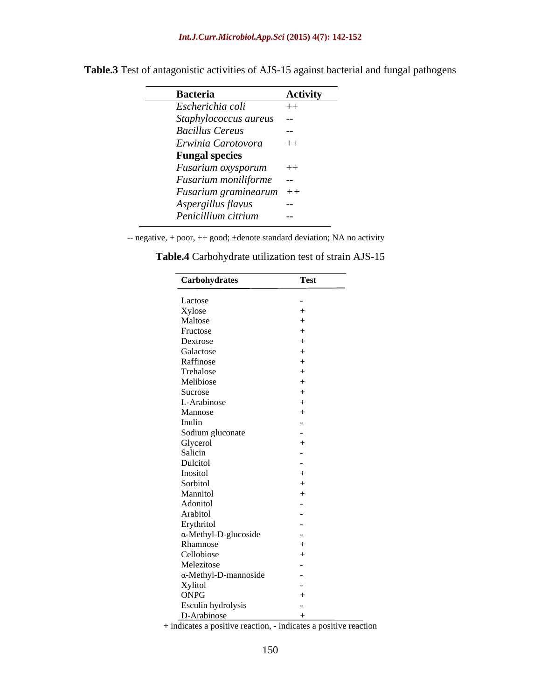| <b>Bacteria</b>           | <b>Activity</b> |
|---------------------------|-----------------|
| Escherichia coli          | $++$            |
| Staphylococcus aureus --  |                 |
| <b>Bacillus Cereus</b>    | $\sim$ $-$      |
| Erwinia Carotovora        | $++$            |
| <b>Fungal species</b>     |                 |
| Fusarium oxysporum ++     |                 |
| Fusarium moniliforme --   |                 |
| Fusarium graminearum $++$ |                 |
| Aspergillus flavus        | $\sim$ $-$      |
| Penicillium citrium       | $- -$           |

**Table.3** Test of antagonistic activities of AJS-15 against bacterial and fungal pathogens

-- negative, + poor, ++ good; ±denote standard deviation; NA no activity

| Carbohydrates                | <b>Test</b> |
|------------------------------|-------------|
|                              |             |
| Lactose<br>Xylose<br>Maltose |             |
|                              |             |
| Fructose                     |             |
| Dextrose                     |             |
| Galactose                    |             |
| Raffinose                    |             |
| Trehalose                    |             |
| Melibiose                    |             |
| Sucrose                      |             |
| L-Arabinose                  |             |
| Mannose                      |             |
| Inulin                       |             |
| Sodium gluconate             |             |
|                              |             |
| Glycerol<br>Salicin          |             |
| Dulcitol                     |             |
| Inositol                     |             |
| Sorbitol                     |             |
| Mannitol                     |             |
| Adonitol                     |             |
| Arabitol                     |             |
| Erythritol                   |             |
| $\alpha$ -Methyl-D-glucoside |             |
| Rhamnose                     |             |
| Cellobiose                   |             |
| Melezitose                   |             |
| $\alpha$ -Methyl-D-mannoside |             |
|                              |             |
| Xylitol<br>ONPG              |             |
| Esculin hydrolysis           |             |
| D-Arabinose                  |             |

| <b>Table.4</b> Carbohydrate utilization test of strain AJS-15 |  |
|---------------------------------------------------------------|--|
|                                                               |  |

+ indicates a positive reaction, - indicates a positive reaction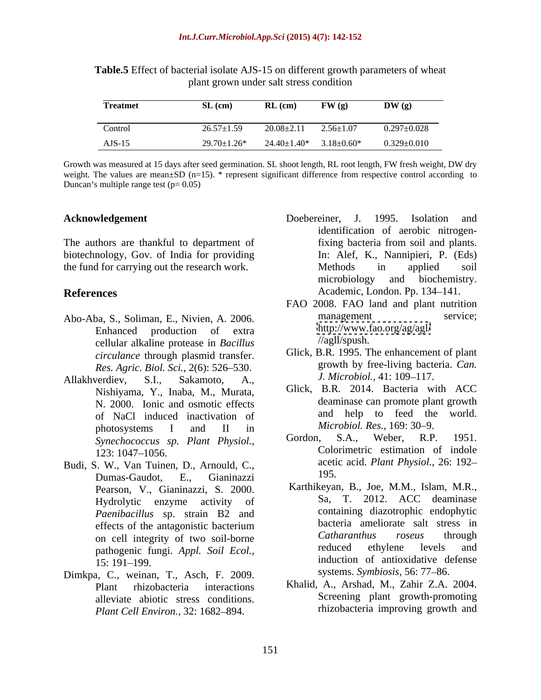| <b>Treatmet</b> | $SL$ (cm)          | $\mathbf{RL}$ (cm) | FW(g)             | DW(g)             |
|-----------------|--------------------|--------------------|-------------------|-------------------|
|                 |                    |                    |                   |                   |
| Control         | $26.57 \pm 1.59$   | $20.08 \pm 2.11$   | $2.56 \pm 1.07$   | $0.297 \pm 0.028$ |
| $AJS-15$        | $29.70 \pm 1.26^*$ | $24.40 \pm 1.40^*$ | $3.18 \pm 0.60^*$ | $0.329 \pm 0.010$ |

**Table.5** Effect of bacterial isolate AJS-15 on different growth parameters of wheat plant grown under salt stress condition

Growth was measured at 15 days after seed germination. SL shoot length, RL root length, FW fresh weight, DW dry weight. The values are mean $\pm$ SD (n=15). \* represent significant difference from respective control according to Duncan's multiple range test  $(p= 0.05)$ 

biotechnology, Gov. of India for providing

- cellular alkaline protease in *Bacillus circulance* through plasmid transfer. *Res. Agric. Biol. Sci.,* 2(6): 526 530.
- Allakhverdiev, S.I., Sakamoto, A., *J. Microbiol.*, 41: 109–117. Nishiyama, Y., Inaba, M., Murata, N. 2000. Ionic and osmotic effects of NaCl induced inactivation of and help to feed the<br>
mbotogyptoms I and II in *Microbiol. Res.* 169:30–9. photosystems I and II in *Microbiol. Res.*, 169: 30–9.
- Budi, S. W., Van Tuinen, D., Arnould, C., aceturely aceturely contained a set the contract of the Gianineari and the UP5. Dumas-Gaudot, E., Gianinazzi Pearson, V., Gianinazzi, S. 2000. Hydrolytic enzyme activity of *Paenibacillus* sp. strain B2 and pathogenic fungi. *Appl. Soil Ecol.,*
- Dimkpa, C., weinan, T., Asch, F. 2009. alleviate abiotic stress conditions. *Plant Cell Environ., 32: 1682-894.*
- Acknowledgement Doebereiner, J. 1995. Isolation and The authors are thankful to department of fixing bacteria from soil and plants. the fund for carrying out the research work. Methods in applied soil References Academic, London. Pp. 134–141. Doebereiner, J. 1995. Isolation and identification of aerobic nitrogenfixing bacteria from soil and plants. In: Alef, K., Nannipieri, P. (Eds) Methods in applied soil microbiology and biochemistry.
- Abo-Aba, S., Soliman, E., Nivien, A. 2006. Enhanced production of extra http://www.fao.org/ag/agl/ FAO 2008. FAO land and plant nutrition management service; <http://www.fao.org/ag/agl/> //agll/spush.
	- Glick, B.R. 1995. The enhancement of plant growth by free-living bacteria. *Can.*
	- Glick, B.R. 2014. Bacteria with ACC deaminase can promote plant growth and help to feed the world. *Microbiol. Res.,* 169: 30–9.
	- *Synechococcus sp. Plant Physiol.,* 123: 1047–1056. Colorimetric estimation of indole Gordon, S.A., Weber, R.P. 1951. Colorimetric estimation of indole acetic acid. *Plant Physiol.,* 26: 192 195.
	- effects of the antagonistic bacterium bacteria ameliorate salt stress in on cell integrity of two soil-borne<br>
	nathogenic function of two soil-borne<br>  $Catharanthus$  roseus through<br>
	reduced ethylene levels and 15: 191–199. **Induction** of antioxidative defense Karthikeyan, B., Joe, M.M., Islam, M.R., Sa, T. 2012. ACC deaminase containing diazotrophic endophytic bacteria ameliorate salt stress in *Catharanthus roseus* through reduced ethylene levels and induction of antioxidative defense systems. *Symbiosis*, 56: 77–86.
	- Plant rhizobacteria interactions Khalid, A., Arshad, M., Zahir Z.A. 2004. Screening plant growth-promoting rhizobacteria improving growth and